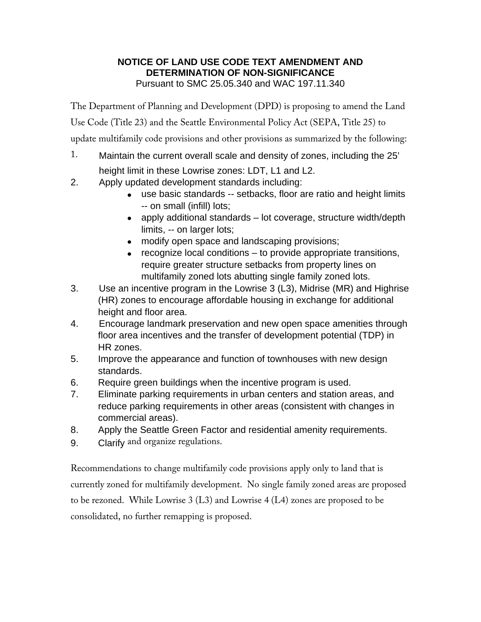# **NOTICE OF LAND USE CODE TEXT AMENDMENT AND DETERMINATION OF NON-SIGNIFICANCE**  Pursuant to SMC 25.05.340 and WAC 197.11.340

The Department of Planning and Development (DPD) is proposing to amend the Land Use Code (Title 23) and the Seattle Environmental Policy Act (SEPA, Title 25) to update multifamily code provisions and other provisions as summarized by the following:

- 1. Maintain the current overall scale and density of zones, including the 25' height limit in these Lowrise zones: LDT, L1 and L2.
- 2. Apply updated development standards including:
	- use basic standards -- setbacks, floor are ratio and height limits -- on small (infill) lots;
	- apply additional standards lot coverage, structure width/depth limits, -- on larger lots;
	- modify open space and landscaping provisions;
	- recognize local conditions to provide appropriate transitions, require greater structure setbacks from property lines on multifamily zoned lots abutting single family zoned lots.
- 3. Use an incentive program in the Lowrise 3 (L3), Midrise (MR) and Highrise (HR) zones to encourage affordable housing in exchange for additional height and floor area.
- 4. Encourage landmark preservation and new open space amenities through floor area incentives and the transfer of development potential (TDP) in HR zones.
- 5. Improve the appearance and function of townhouses with new design standards.
- 6. Require green buildings when the incentive program is used.
- 7. Eliminate parking requirements in urban centers and station areas, and reduce parking requirements in other areas (consistent with changes in commercial areas).
- 8. Apply the Seattle Green Factor and residential amenity requirements.
- 9. Clarify and organize regulations.

Recommendations to change multifamily code provisions apply only to land that is currently zoned for multifamily development. No single family zoned areas are proposed to be rezoned. While Lowrise 3 (L3) and Lowrise 4 (L4) zones are proposed to be consolidated, no further remapping is proposed.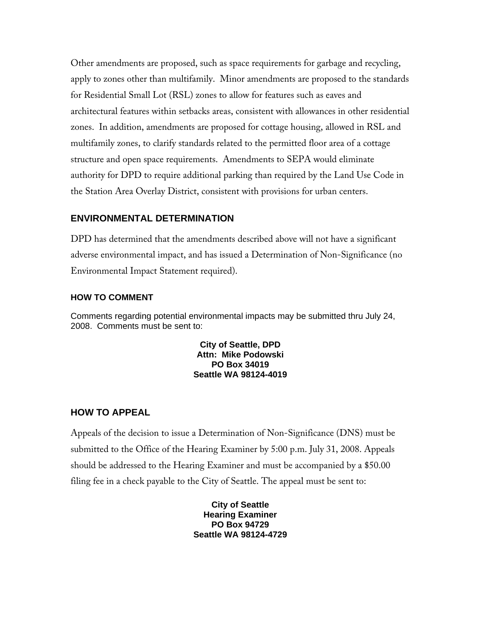Other amendments are proposed, such as space requirements for garbage and recycling, apply to zones other than multifamily. Minor amendments are proposed to the standards for Residential Small Lot (RSL) zones to allow for features such as eaves and architectural features within setbacks areas, consistent with allowances in other residential zones. In addition, amendments are proposed for cottage housing, allowed in RSL and multifamily zones, to clarify standards related to the permitted floor area of a cottage structure and open space requirements. Amendments to SEPA would eliminate authority for DPD to require additional parking than required by the Land Use Code in the Station Area Overlay District, consistent with provisions for urban centers.

## **ENVIRONMENTAL DETERMINATION**

DPD has determined that the amendments described above will not have a significant adverse environmental impact, and has issued a Determination of Non-Significance (no Environmental Impact Statement required).

### **HOW TO COMMENT**

Comments regarding potential environmental impacts may be submitted thru July 24, 2008. Comments must be sent to:

> **City of Seattle, DPD Attn: Mike Podowski PO Box 34019 Seattle WA 98124-4019**

## **HOW TO APPEAL**

Appeals of the decision to issue a Determination of Non-Significance (DNS) must be submitted to the Office of the Hearing Examiner by 5:00 p.m. July 31, 2008. Appeals should be addressed to the Hearing Examiner and must be accompanied by a \$50.00 filing fee in a check payable to the City of Seattle. The appeal must be sent to:

> **City of Seattle Hearing Examiner PO Box 94729 Seattle WA 98124-4729**